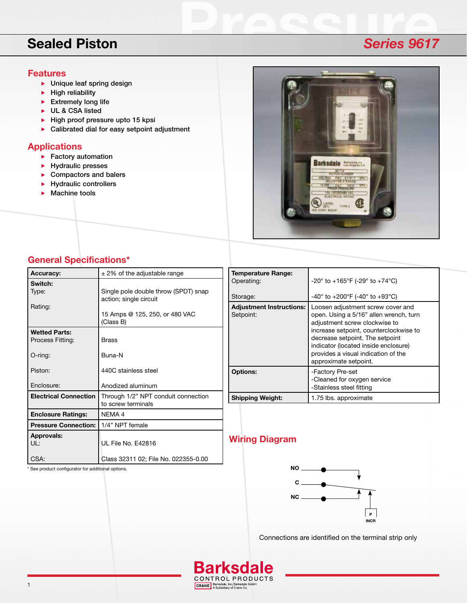# **Sealed Piston** *Series 9617*

### **Features**

- **Draid Unique leaf spring design**
- $\blacktriangleright$  High reliability
- $\blacktriangleright$  Extremely long life
- UL & CSA listed
- $\blacktriangleright$  High proof pressure upto 15 kpsi
- Calibrated dial for easy setpoint adjustment

## **Applications**

- $\blacktriangleright$  Factory automation
- $\blacktriangleright$  Hydraulic presses
- ▶ Compactors and balers
- $\blacktriangleright$  Hydraulic controllers
- $\blacktriangleright$  Machine tools



## **General Specifications\***

\* See product configurator for additional options.

| <b>Accuracy:</b>             | $\pm$ 2% of the adjustable range                          |
|------------------------------|-----------------------------------------------------------|
| Switch:<br>Type:             | Single pole double throw (SPDT) snap                      |
|                              | action; single circuit                                    |
| Rating:                      | 15 Amps @ 125, 250, or 480 VAC<br>(Class B)               |
| Wetted Parts:                |                                                           |
| Process Fitting:             | <b>Brass</b>                                              |
| $O$ -ring:                   | Buna-N                                                    |
| Piston:                      | 440C stainless steel                                      |
| Enclosure:                   | Anodized aluminum                                         |
| <b>Electrical Connection</b> | Through 1/2" NPT conduit connection<br>to screw terminals |
| <b>Enclosure Ratings:</b>    | NEMA 4                                                    |
| <b>Pressure Connection:</b>  | 1/4" NPT female                                           |
| <b>Approvals:</b><br>UL:     | UL File No. E42816                                        |
| CSA:                         | Class 32311 02; File No. 022355-0.00                      |

| <b>Temperature Range:</b><br>Operating:      | $-20^{\circ}$ to $+165^{\circ}$ F (-29° to $+74^{\circ}$ C)                                                                                                                                                                                                                                       |
|----------------------------------------------|---------------------------------------------------------------------------------------------------------------------------------------------------------------------------------------------------------------------------------------------------------------------------------------------------|
| Storage:                                     | $-40^{\circ}$ to $+200^{\circ}$ F (-40° to $+93^{\circ}$ C)                                                                                                                                                                                                                                       |
| <b>Adjustment Instructions:</b><br>Setpoint: | Loosen adjustment screw cover and<br>open. Using a 5/16" allen wrench, turn<br>adjustment screw clockwise to<br>increase setpoint, counterclockwise to<br>decrease setpoint. The setpoint<br>indicator (located inside enclosure)<br>provides a visual indication of the<br>approximate setpoint. |
| <b>Options:</b>                              | -Factory Pre-set<br>-Cleaned for oxygen service<br>-Stainless steel fitting                                                                                                                                                                                                                       |
| <b>Shipping Weight:</b>                      | 1.75 lbs. approximate                                                                                                                                                                                                                                                                             |

# **Wiring Diagram**



Connections are identified on the terminal strip only



**Barksdale** CONTROL PRODUCTS CRANE Barksdale, Inc./Barksdale GmbH<br>A Subsidiary of Crane Co.